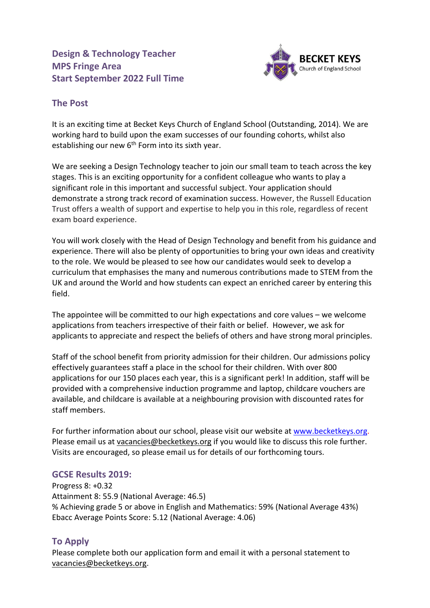**Design & Technology Teacher MPS Fringe Area Start September 2022 Full Time** 



## **The Post**

It is an exciting time at Becket Keys Church of England School (Outstanding, 2014). We are working hard to build upon the exam successes of our founding cohorts, whilst also establishing our new 6<sup>th</sup> Form into its sixth year.

We are seeking a Design Technology teacher to join our small team to teach across the key stages. This is an exciting opportunity for a confident colleague who wants to play a significant role in this important and successful subject. Your application should demonstrate a strong track record of examination success. However, the Russell Education Trust offers a wealth of support and expertise to help you in this role, regardless of recent exam board experience.

You will work closely with the Head of Design Technology and benefit from his guidance and experience. There will also be plenty of opportunities to bring your own ideas and creativity to the role. We would be pleased to see how our candidates would seek to develop a curriculum that emphasises the many and numerous contributions made to STEM from the UK and around the World and how students can expect an enriched career by entering this field.

The appointee will be committed to our high expectations and core values – we welcome applications from teachers irrespective of their faith or belief. However, we ask for applicants to appreciate and respect the beliefs of others and have strong moral principles.

Staff of the school benefit from priority admission for their children. Our admissions policy effectively guarantees staff a place in the school for their children. With over 800 applications for our 150 places each year, this is a significant perk! In addition, staff will be provided with a comprehensive induction programme and laptop, childcare vouchers are available, and childcare is available at a neighbouring provision with discounted rates for staff members.

For further information about our school, please visit our website at [www.becketkeys.org.](http://www.becketkeys.org/) Please email us at [vacancies@becketkeys.org](mailto:vacancies@becketkeys.org) if you would like to discuss this role further. Visits are encouraged, so please email us for details of our forthcoming tours.

## **GCSE Results 2019:**

Progress 8: +0.32 Attainment 8: 55.9 (National Average: 46.5) % Achieving grade 5 or above in English and Mathematics: 59% (National Average 43%) Ebacc Average Points Score: 5.12 (National Average: 4.06)

## **To Apply**

Please complete both our application form and email it with a personal statement to [vacancies@becketkeys.org.](mailto:vacancies@becketkeys.org)